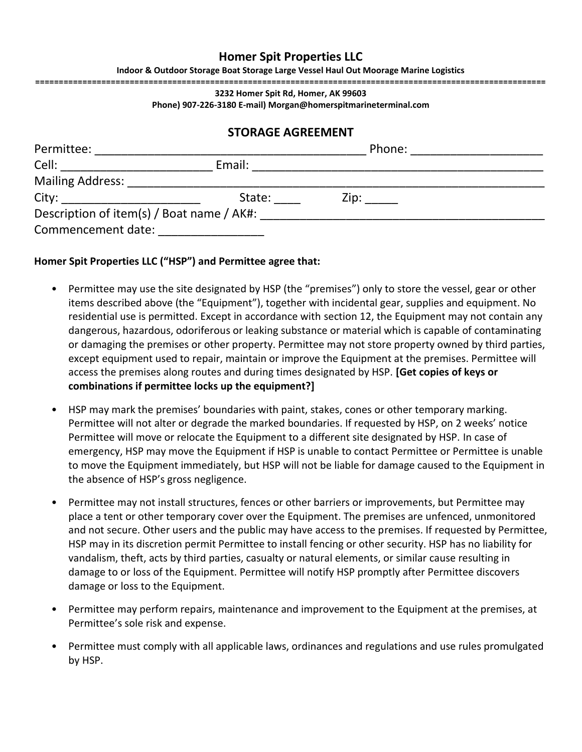## **Homer Spit Properties LLC**

**Indoor & Outdoor Storage Boat Storage Large Vessel Haul Out Moorage Marine Logistics**

**============================================================================================================**

**3232 Homer Spit Rd, Homer, AK 99603 Phone) 907-226-3180 E-mail) Morgan@homerspitmarineterminal.com**

## **STORAGE AGREEMENT**

| Permittee:                                                                                                                                                                                                                     |        | Phone: |  |
|--------------------------------------------------------------------------------------------------------------------------------------------------------------------------------------------------------------------------------|--------|--------|--|
| Cell:                                                                                                                                                                                                                          | Email: |        |  |
| <b>Mailing Address:</b>                                                                                                                                                                                                        |        |        |  |
| City: the contract of the contract of the contract of the contract of the contract of the contract of the contract of the contract of the contract of the contract of the contract of the contract of the contract of the cont | State: | Zip:   |  |
| Description of item(s) / Boat name / AK#:                                                                                                                                                                                      |        |        |  |
| Commencement date:                                                                                                                                                                                                             |        |        |  |

## **Homer Spit Properties LLC ("HSP") and Permittee agree that:**

- Permittee may use the site designated by HSP (the "premises") only to store the vessel, gear or other items described above (the "Equipment"), together with incidental gear, supplies and equipment. No residential use is permitted. Except in accordance with section 12, the Equipment may not contain any dangerous, hazardous, odoriferous or leaking substance or material which is capable of contaminating or damaging the premises or other property. Permittee may not store property owned by third parties, except equipment used to repair, maintain or improve the Equipment at the premises. Permittee will access the premises along routes and during times designated by HSP. **[Get copies of keys or combinations if permittee locks up the equipment?]**
- HSP may mark the premises' boundaries with paint, stakes, cones or other temporary marking. Permittee will not alter or degrade the marked boundaries. If requested by HSP, on 2 weeks' notice Permittee will move or relocate the Equipment to a different site designated by HSP. In case of emergency, HSP may move the Equipment if HSP is unable to contact Permittee or Permittee is unable to move the Equipment immediately, but HSP will not be liable for damage caused to the Equipment in the absence of HSP's gross negligence.
- Permittee may not install structures, fences or other barriers or improvements, but Permittee may place a tent or other temporary cover over the Equipment. The premises are unfenced, unmonitored and not secure. Other users and the public may have access to the premises. If requested by Permittee, HSP may in its discretion permit Permittee to install fencing or other security. HSP has no liability for vandalism, theft, acts by third parties, casualty or natural elements, or similar cause resulting in damage to or loss of the Equipment. Permittee will notify HSP promptly after Permittee discovers damage or loss to the Equipment.
- Permittee may perform repairs, maintenance and improvement to the Equipment at the premises, at Permittee's sole risk and expense.
- Permittee must comply with all applicable laws, ordinances and regulations and use rules promulgated by HSP.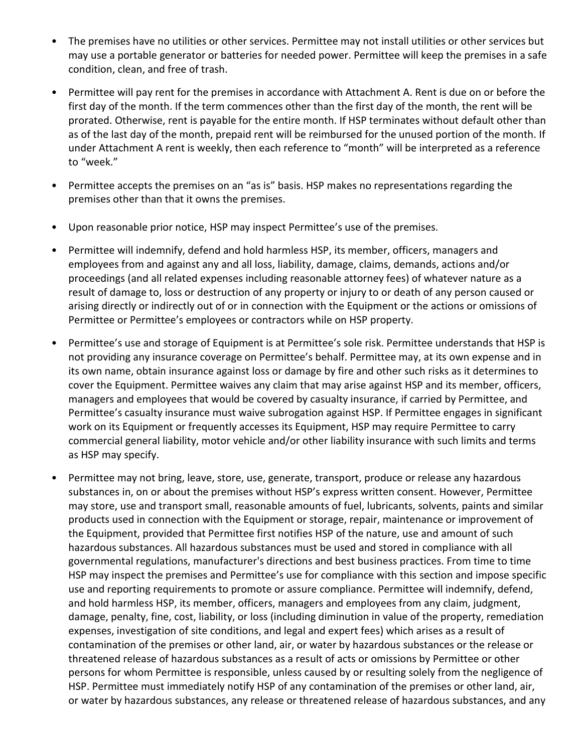- The premises have no utilities or other services. Permittee may not install utilities or other services but may use a portable generator or batteries for needed power. Permittee will keep the premises in a safe condition, clean, and free of trash.
- Permittee will pay rent for the premises in accordance with Attachment A. Rent is due on or before the first day of the month. If the term commences other than the first day of the month, the rent will be prorated. Otherwise, rent is payable for the entire month. If HSP terminates without default other than as of the last day of the month, prepaid rent will be reimbursed for the unused portion of the month. If under Attachment A rent is weekly, then each reference to "month" will be interpreted as a reference to "week."
- Permittee accepts the premises on an "as is" basis. HSP makes no representations regarding the premises other than that it owns the premises.
- Upon reasonable prior notice, HSP may inspect Permittee's use of the premises.
- Permittee will indemnify, defend and hold harmless HSP, its member, officers, managers and employees from and against any and all loss, liability, damage, claims, demands, actions and/or proceedings (and all related expenses including reasonable attorney fees) of whatever nature as a result of damage to, loss or destruction of any property or injury to or death of any person caused or arising directly or indirectly out of or in connection with the Equipment or the actions or omissions of Permittee or Permittee's employees or contractors while on HSP property.
- Permittee's use and storage of Equipment is at Permittee's sole risk. Permittee understands that HSP is not providing any insurance coverage on Permittee's behalf. Permittee may, at its own expense and in its own name, obtain insurance against loss or damage by fire and other such risks as it determines to cover the Equipment. Permittee waives any claim that may arise against HSP and its member, officers, managers and employees that would be covered by casualty insurance, if carried by Permittee, and Permittee's casualty insurance must waive subrogation against HSP. If Permittee engages in significant work on its Equipment or frequently accesses its Equipment, HSP may require Permittee to carry commercial general liability, motor vehicle and/or other liability insurance with such limits and terms as HSP may specify.
- Permittee may not bring, leave, store, use, generate, transport, produce or release any hazardous substances in, on or about the premises without HSP's express written consent. However, Permittee may store, use and transport small, reasonable amounts of fuel, lubricants, solvents, paints and similar products used in connection with the Equipment or storage, repair, maintenance or improvement of the Equipment, provided that Permittee first notifies HSP of the nature, use and amount of such hazardous substances. All hazardous substances must be used and stored in compliance with all governmental regulations, manufacturer's directions and best business practices. From time to time HSP may inspect the premises and Permittee's use for compliance with this section and impose specific use and reporting requirements to promote or assure compliance. Permittee will indemnify, defend, and hold harmless HSP, its member, officers, managers and employees from any claim, judgment, damage, penalty, fine, cost, liability, or loss (including diminution in value of the property, remediation expenses, investigation of site conditions, and legal and expert fees) which arises as a result of contamination of the premises or other land, air, or water by hazardous substances or the release or threatened release of hazardous substances as a result of acts or omissions by Permittee or other persons for whom Permittee is responsible, unless caused by or resulting solely from the negligence of HSP. Permittee must immediately notify HSP of any contamination of the premises or other land, air, or water by hazardous substances, any release or threatened release of hazardous substances, and any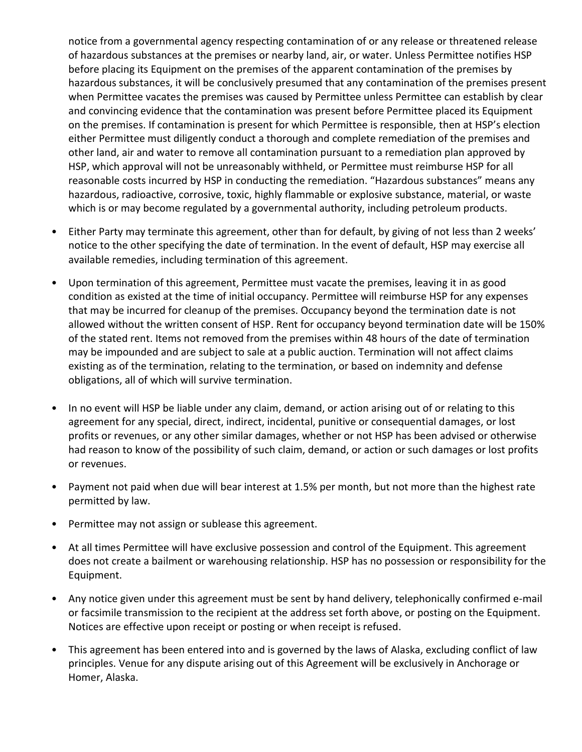notice from a governmental agency respecting contamination of or any release or threatened release of hazardous substances at the premises or nearby land, air, or water. Unless Permittee notifies HSP before placing its Equipment on the premises of the apparent contamination of the premises by hazardous substances, it will be conclusively presumed that any contamination of the premises present when Permittee vacates the premises was caused by Permittee unless Permittee can establish by clear and convincing evidence that the contamination was present before Permittee placed its Equipment on the premises. If contamination is present for which Permittee is responsible, then at HSP's election either Permittee must diligently conduct a thorough and complete remediation of the premises and other land, air and water to remove all contamination pursuant to a remediation plan approved by HSP, which approval will not be unreasonably withheld, or Permittee must reimburse HSP for all reasonable costs incurred by HSP in conducting the remediation. "Hazardous substances" means any hazardous, radioactive, corrosive, toxic, highly flammable or explosive substance, material, or waste which is or may become regulated by a governmental authority, including petroleum products.

- Either Party may terminate this agreement, other than for default, by giving of not less than 2 weeks' notice to the other specifying the date of termination. In the event of default, HSP may exercise all available remedies, including termination of this agreement.
- Upon termination of this agreement, Permittee must vacate the premises, leaving it in as good condition as existed at the time of initial occupancy. Permittee will reimburse HSP for any expenses that may be incurred for cleanup of the premises. Occupancy beyond the termination date is not allowed without the written consent of HSP. Rent for occupancy beyond termination date will be 150% of the stated rent. Items not removed from the premises within 48 hours of the date of termination may be impounded and are subject to sale at a public auction. Termination will not affect claims existing as of the termination, relating to the termination, or based on indemnity and defense obligations, all of which will survive termination.
- In no event will HSP be liable under any claim, demand, or action arising out of or relating to this agreement for any special, direct, indirect, incidental, punitive or consequential damages, or lost profits or revenues, or any other similar damages, whether or not HSP has been advised or otherwise had reason to know of the possibility of such claim, demand, or action or such damages or lost profits or revenues.
- Payment not paid when due will bear interest at 1.5% per month, but not more than the highest rate permitted by law.
- Permittee may not assign or sublease this agreement.
- At all times Permittee will have exclusive possession and control of the Equipment. This agreement does not create a bailment or warehousing relationship. HSP has no possession or responsibility for the Equipment.
- Any notice given under this agreement must be sent by hand delivery, telephonically confirmed e-mail or facsimile transmission to the recipient at the address set forth above, or posting on the Equipment. Notices are effective upon receipt or posting or when receipt is refused.
- This agreement has been entered into and is governed by the laws of Alaska, excluding conflict of law principles. Venue for any dispute arising out of this Agreement will be exclusively in Anchorage or Homer, Alaska.